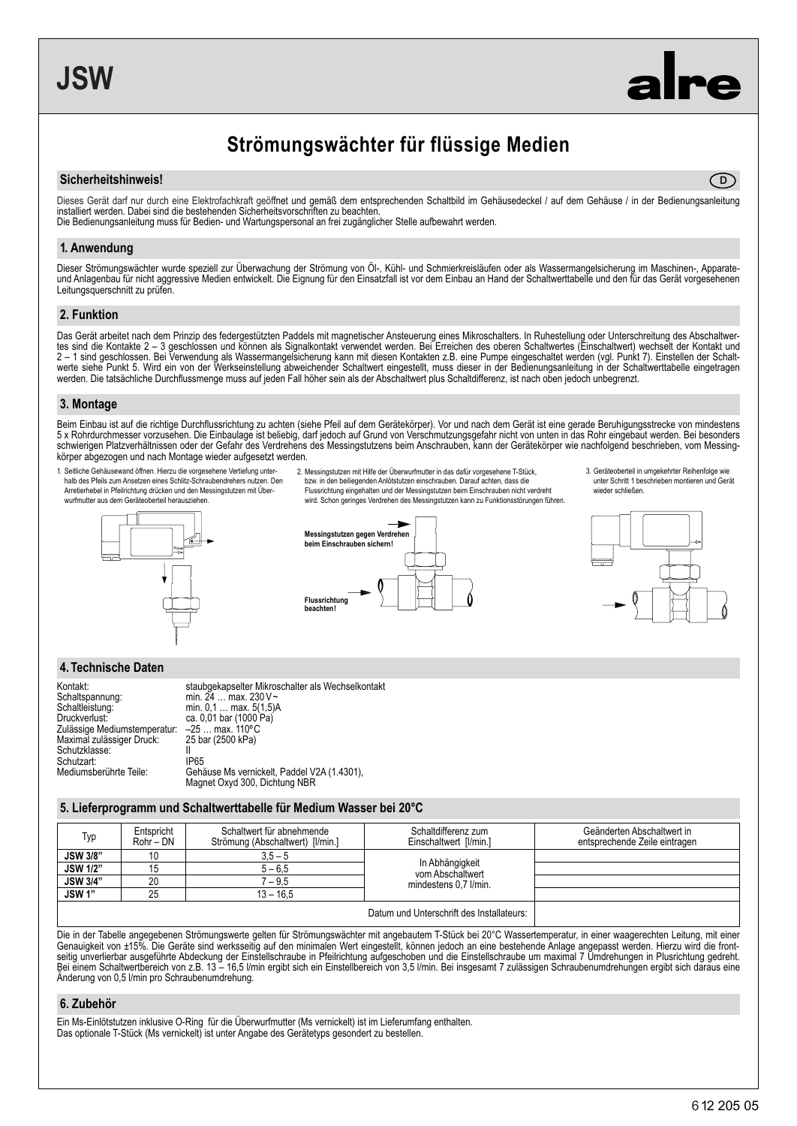**D**

# **Strömungswächter für flüssige Medien**

#### **Sicherheitshinweis!**

Dieses Gerät darf nur durch eine Elektrofachkraft geöffnet und gemäß dem entsprechenden Schaltbild im Gehäusedeckel / auf dem Gehäuse / in der Bedienungsanleitung installiert werden. Dabei sind die bestehenden Sicherheitsvorschriften zu beachten. Die Bedienungsanleitung muss für Bedien- und Wartungspersonal an frei zugänglicher Stelle aufbewahrt werden.

#### **1. Anwendung**

Dieser Strömungswächter wurde speziell zur Überwachung der Strömung von Öl-, Kühl- und Schmierkreisläufen oder als Wassermangelsicherung im Maschinen-, Apparateund Anlagenbau für nicht aggressive Medien entwickelt. Die Eignung für den Einsatzfall ist vor dem Einbau an Hand der Schaltwerttabelle und den für das Gerät vorgesehenen Leitungsquerschnitt zu prüfen.

#### **2. Funktion**

Das Gerät arbeitet nach dem Prinzip des federgestützten Paddels mit magnetischer Ansteuerung eines Mikroschalters. In Ruhestellung oder Unterschreitung des Abschaltwertes sind die Kontakte 2 – 3 geschlossen und können als Signalkontakt verwendet werden. Bei Erreichen des oberen Schaltwertes (Einschaltwert) wechselt der Kontakt und 2 – 1 sind geschlossen. Bei Verwendung als Wassermangelsicherung kann mit diesen Kontakten z.B. eine Pumpe eingeschaltet werden (vgl. Punkt 7). Einstellen der Schaltwerte siehe Punkt 5. Wird ein von der Werkseinstellung abweichender Schaltwert eingestellt, muss dieser in der Bedienungsanleitung in der Schaltwerttabelle eingetragen werden. Die tatsächliche Durchflussmenge muss auf jeden Fall höher sein als der Abschaltwert plus Schaltdifferenz, ist nach oben jedoch unbegrenzt.

#### **3. Montage**

Beim Einbau ist auf die richtige Durchflussrichtung zu achten (siehe Pfeil auf dem Gerätekörper). Vor und nach dem Gerät ist eine gerade Beruhigungsstrecke von mindestens 5 x Rohrdurchmesser vorzusehen. Die Einbaulage ist beliebig, darf jedoch auf Grund von Verschmutzungsgefahr nicht von unten in das Rohr eingebaut werden. Bei besonders schwierigen Platzverhältnissen oder der Gefahr des Verdrehens des Messingstutzens beim Anschrauben, kann der Gerätekörper wie nachfolgend beschrieben, vom Messingkörper abgezogen und nach Montage wieder aufgesetzt werden.

- 1. Seitliche Gehäusewand öffnen. Hierzu die vorgesehene Vertiefung unterhalb des Pfeils zum Ansetzen eines Schlitz-Schraubendrehers nutzen. Den Arretierhebel in Pfeilrichtung drücken und den Messingstutzen mit Überwurfmutter aus dem Geräteoberteil herausziehen.
- 2. Messingstutzen mit Hilfe der Überwurfmutter in das dafür vorgesehene T-Stück, bzw. in den beiliegenden Anlötstutzen einschrauben. Darauf achten, dass die

Flussrichtung eingehalten und der Messingstutzen beim Einschrauben nicht verdreht wird. Schon geringes Verdrehen des Messingstutzen kann zu Funktionsstörungen führen.









#### **4. Technische Daten**

| Kontakt:                     | staubgekapselter Mikroschalter als Wechselkontakt |
|------------------------------|---------------------------------------------------|
| Schaltspannung:              | min. 24  max. 230 V~                              |
| Schaltleistung:              | min. 0.1  max. 5(1.5)A                            |
| Druckverlust:                | ca. 0,01 bar (1000 Pa)                            |
| Zulässige Mediumstemperatur: | $-25$ max. 110°C                                  |
| Maximal zulässiger Druck:    | 25 bar (2500 kPa)                                 |
| Schutzklasse:                |                                                   |
| Schutzart:                   | IP65                                              |
| Mediumsberührte Teile:       | Gehäuse Ms vernickelt, Paddel V2A (1.4301),       |
|                              | Magnet Oxyd 300, Dichtung NBR                     |

#### **5. Lieferprogramm und Schaltwerttabelle für Medium Wasser bei 20°C**

| Typ                                       | Entspricht<br>$Rohr - DN$ | Schaltwert für abnehmende<br>Strömung (Abschaltwert) [I/min.] | Schaltdifferenz zum<br>Einschaltwert [I/min.]                | Geänderten Abschaltwert in<br>entsprechende Zeile eintragen |
|-------------------------------------------|---------------------------|---------------------------------------------------------------|--------------------------------------------------------------|-------------------------------------------------------------|
| <b>JSW 3/8"</b>                           | 10                        | $3.5 - 5$                                                     | In Abhängigkeit<br>vom Abschaltwert<br>mindestens 0,7 l/min. |                                                             |
| <b>JSW 1/2"</b>                           | 15                        | $5 - 6.5$                                                     |                                                              |                                                             |
| <b>JSW 3/4"</b>                           | 20                        | $-9.5$                                                        |                                                              |                                                             |
| <b>JSW1"</b>                              | 25                        | $13 - 16.5$                                                   |                                                              |                                                             |
| Datum und Unterschrift des Installateurs: |                           |                                                               |                                                              |                                                             |

Die in der Tabelle angegebenen Strömungswerte gelten für Strömungswächter mit angebautem T-Stück bei 20°C Wassertemperatur, in einer waagerechten Leitung, mit einer Genauigkeit von ±15%. Die Geräte sind werksseitig auf den minimalen Wert eingestellt, können jedoch an eine bestehende Anlage angepasst werden. Hierzu wird die frontseitig unverlierbar ausgeführte Abdeckung der Einstellschraube in Pfeilrichtung aufgeschoben und die Einstellschraube um maximal 7 Umdrehungen in Plusrichtung gedreht.<br>Bei einem Schaltwertbereich von z.B. 13 – 16,5 l/min e Änderung von 0,5 l/min pro Schraubenumdrehung.

#### **6. Zubehör**

Ein Ms-Einlötstutzen inklusive O-Ring für die Überwurfmutter (Ms vernickelt) ist im Lieferumfang enthalten. Das optionale T-Stück (Ms vernickelt) ist unter Angabe des Gerätetyps gesondert zu bestellen.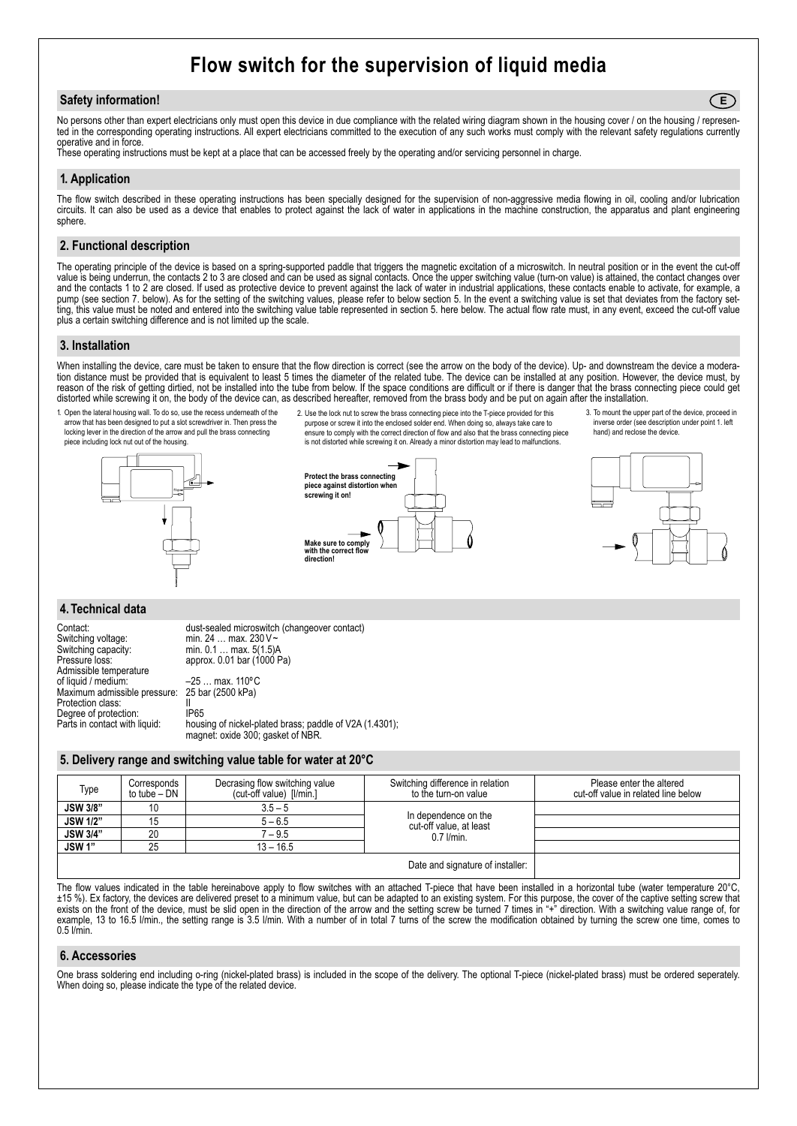## **Flow switch for the supervision of liquid media**

#### **Safety information!**

No persons other than expert electricians only must open this device in due compliance with the related wiring diagram shown in the housing cover / on the housing / represented in the corresponding operating instructions. All expert electricians committed to the execution of any such works must comply with the relevant safety regulations currently operative and in force.

These operating instructions must be kept at a place that can be accessed freely by the operating and/or servicing personnel in charge.

### **1. Application**

The flow switch described in these operating instructions has been specially designed for the supervision of non-aggressive media flowing in oil, cooling and/or lubrication circuits. It can also be used as a device that enables to protect against the lack of water in applications in the machine construction, the apparatus and plant engineering sphere.

#### **2. Functional description**

The operating principle of the device is based on a spring-supported paddle that triggers the magnetic excitation of a microswitch. In neutral position or in the event the cut-off value is being underrun, the contacts 2 to 3 are closed and can be used as signal contacts. Once the upper switching value (turn-on value) is attained, the contact changes over and the contacts 1 to 2 are closed. If used as protective device to prevent against the lack of water in industrial applications, these contacts enable to activate, for example, a pump (see section 7. below). As for the setting of the switching values, please refer to below section 5. In the event a switching value is set that deviates from the factory setting, this value must be noted and entered into the switching value table represented in section 5. here below. The actual flow rate must, in any event, exceed the cut-off value plus a certain switching difference and is not limited up the scale.

#### **3. Installation**

When installing the device, care must be taken to ensure that the flow direction is correct (see the arrow on the body of the device). Up- and downstream the device a moderation distance must be provided that is equivalent to least 5 times the diameter of the related tube. The device can be installed at any position. However, the device must, by reason of the risk of getting dirtied, not be installed into the tube from below. If the space conditions are difficult or if there is danger that the brass connecting piece could get distorted while screwing it on, the body of the device can, as described hereafter, removed from the brass body and be put on again after the installation.



**Make sure to comply with the correct flow direction!**

3. To mount the upper part of the device, proceed in inverse order (see description under point 1. left hand) and reclose the device.

**E**



#### **4. Technical data**

Switching voltage: min. 24 ... max. 230 V~<br>Switching capacity: min. 0.1 ... max. 5(1.5) Switching capacity: min. 0.1 ... max. 5(1.5)<br>Pressure loss: approx. 0.01 bar (1000 Admissible temperature<br>of liquid / medium: Maximum admissible pressure: Protection class:<br>
Degree of protection: IP65 Degree of protection:<br>Parts in contact with liquid:

Contact: dust-sealed microswitch (changeover contact)<br>Switching voltage: min. 24 ... max. 230 V ~ approx.  $0.01$  bar (1000 Pa) –25 … max. 110°C<br>25 bar (2500 kPa)

housing of nickel-plated brass; paddle of V2A (1.4301); magnet: oxide 300; gasket of NBR.

#### **5. Delivery range and switching value table for water at 20°C**

| Type                             | Corresponds<br>to tube – DN | Decrasing flow switching value<br>(cut-off value) [I/min.] | Switching difference in relation<br>to the turn-on value          | Please enter the altered<br>cut-off value in related line below |
|----------------------------------|-----------------------------|------------------------------------------------------------|-------------------------------------------------------------------|-----------------------------------------------------------------|
| <b>JSW 3/8"</b>                  | 10                          | $3.5 - 5$                                                  | In dependence on the<br>cut-off value, at least<br>$0.7$ $l/min.$ |                                                                 |
| <b>JSW 1/2"</b>                  | 15                          | $5 - 6.5$                                                  |                                                                   |                                                                 |
| <b>JSW 3/4"</b>                  | 20                          | $7 - 9.5$                                                  |                                                                   |                                                                 |
| <b>JSW1"</b>                     | 25                          | $13 - 16.5$                                                |                                                                   |                                                                 |
| Date and signature of installer: |                             |                                                            |                                                                   |                                                                 |

The flow values indicated in the table hereinabove apply to flow switches with an attached T-piece that have been installed in a horizontal tube (water temperature 20°C, ±15 %). Ex factory, the devices are delivered preset to a minimum value, but can be adapted to an existing system. For this purpose, the cover of the captive setting screw that exists on the front of the device, must be slid open in the direction of the arrow and the setting screw be turned 7 times in "+" direction. With a switching value range of, for example, 13 to 16.5 l/min., the setting range is 3.5 l/min. With a number of in total 7 turns of the screw the modification obtained by turning the screw one time, comes to 0.5 l/min.

#### **6. Accessories**

One brass soldering end including o-ring (nickel-plated brass) is included in the scope of the delivery. The optional T-piece (nickel-plated brass) must be ordered seperately. When doing so, please indicate the type of the related device.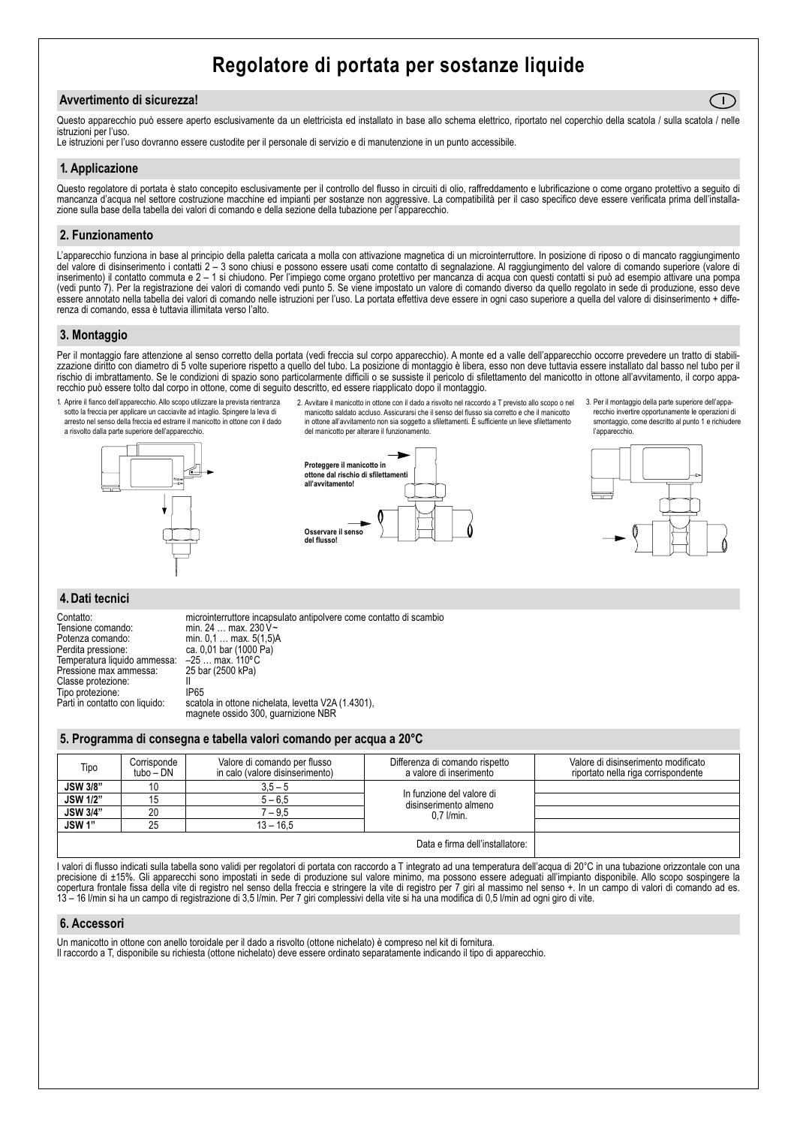### **Regolatore di portata per sostanze liquide**

#### **Avvertimento di sicurezza!**

Questo apparecchio può essere aperto esclusivamente da un elettricista ed installato in base allo schema elettrico, riportato nel coperchio della scatola / sulla scatola / nelle istruzioni per l'uso.

Le istruzioni per l'uso dovranno essere custodite per il personale di servizio e di manutenzione in un punto accessibile.

#### **1. Applicazione**

Questo regolatore di portata è stato concepito esclusivamente per il controllo del flusso in circuiti di olio, raffreddamento e lubrificazione o come organo protettivo a sequito di mancanza d'acqua nel settore costruzione macchine ed impianti per sostanze non aggressive. La compatibilità per il caso specifico deve essere verificata prima dell'installazione sulla base della tabella dei valori di comando e della sezione della tubazione per l'apparecchio.

#### **2. Funzionamento**

L'apparecchio funziona in base al principio della paletta caricata a molla con attivazione magnetica di un microinterruttore. In posizione di riposo o di mancato raggiungimento del valore di disinserimento i contatti 2 – 3 sono chiusi e possono essere usati come contatto di segnalazione. Al raggiungimento del valore di comando superiore (valore di inserimento) il contatto commuta e 2 – 1 si chiudono. Per l'impiego come organo protettivo per mancanza di acqua con questi contatti si può ad esempio attivare una pompa (vedi punto 7). Per la registrazione dei valori di comando vedi punto 5. Se viene impostato un valore di comando diverso da quello regolato in sede di produzione, esso deve essere annotato nella tabella dei valori di comando nelle istruzioni per l'uso. La portata effettiva deve essere in ogni caso superiore a quella del valore di disinserimento + differenza di comando, essa è tuttavia illimitata verso l'alto.

#### **3. Montaggio**

Per il montaggio fare attenzione al senso corretto della portata (vedi freccia sul corpo apparecchio). A monte ed a valle dell'apparecchio occorre prevedere un tratto di stabilizzazione diritto con diametro di 5 volte superiore rispetto a quello del tubo. La posizione di montaggio è libera, esso non deve tuttavia essere installato dal basso nel tubo per il rischio di imbrattamento. Se le condizioni di spazio sono particolarmente difficili o se sussiste il pericolo di sfilettamento del manicotto in ottone all'avvitamento, il corpo apparecchio può essere tolto dal corpo in ottone, come di seguito descritto, ed essere riapplicato dopo il montaggio.

1. Aprire il fianco dell'apparecchio. Allo scopo utilizzare la prevista rientranza sotto la freccia per applicare un cacciavite ad intaglio. Spingere la leva di arresto nel senso della freccia ed estrarre il manicotto in ottone con il dado a risvolto dalla parte superiore dell'apparecchio.



2. Avvitare il manicotto in ottone con il dado a risvolto nel raccordo a T previsto allo scopo o nel manicotto saldato accluso. Assicurarsi che il senso del flusso sia corretto e che il manicotto in ottone all'avvitamento non sia soggetto a sfilettamenti. È sufficiente un lieve sfilettamento del manicotto per alterare il funzionamento.



3. Per il montaggio della parte superiore dell'apparecchio invertire opportunamente le operazioni di smontaggio, come descritto al punto 1 e richiudere l'appare

**I**



### **4. Dati tecnici**

Tensione comando: min. 24 ... max. 230 V ~ Potenza comando: min. 0,1 ... max. 5(1,5)A<br>Perdita pressione: ca. 0,01 bar (1000 Pa) Temperatura liquido ammessa: - 25 ... max. 110°C<br>Pressione max ammessa: 25 bar (2500 kPa) Pressione max ammessa: Classe protezione: II<br>Tipo protezione: IP65 Tipo protezione:<br>Parti in contatto con liquido:

Contatto: microinterruttore incapsulato antipolvere come contatto di scambio ca. 0,01 bar (1000 Pa)<br>-25 ... max. 110°C scatola in ottone nichelata, levetta V2A (1.4301),

#### **5. Programma di consegna e tabella valori comando per acqua a 20°C**

magnete ossido 300, guarnizione NBR

| Tipo                            | Corrisponde<br>tubo – DN | Valore di comando per flusso<br>in calo (valore disinserimento) | Differenza di comando rispetto<br>a valore di inserimento            | Valore di disinserimento modificato<br>riportato nella riga corrispondente |
|---------------------------------|--------------------------|-----------------------------------------------------------------|----------------------------------------------------------------------|----------------------------------------------------------------------------|
| <b>JSW 3/8"</b>                 | 10                       | $3.5 - 5$                                                       | In funzione del valore di<br>disinserimento almeno<br>$0.7$ $l/min.$ |                                                                            |
| <b>JSW 1/2"</b>                 | 15                       | $5 - 6.5$                                                       |                                                                      |                                                                            |
| <b>JSW 3/4"</b>                 | 20                       | $-9.5$                                                          |                                                                      |                                                                            |
| <b>JSW1"</b>                    | 25                       | $13 - 16.5$                                                     |                                                                      |                                                                            |
| Data e firma dell'installatore: |                          |                                                                 |                                                                      |                                                                            |

I valori di flusso indicati sulla tabella sono validi per regolatori di portata con raccordo a T integrato ad una temperatura dell'acqua di 20°C in una tubazione orizzontale con una precisione di ±15%. Gli apparecchi sono impostati in sede di produzione sul valore minimo, ma possono essere adeguati all'impianto disponibile. Allo scopo sospingere la copertura frontale fissa della vite di registro nel senso della freccia e stringere la vite di registro per 7 giri al massimo nel senso +. In un campo di valori di comando ad es. 13 – 16 l/min si ha un campo di registrazione di 3,5 l/min. Per 7 giri complessivi della vite si ha una modifica di 0,5 l/min ad ogni giro di vite.

#### **6. Accessori**

Un manicotto in ottone con anello toroidale per il dado a risvolto (ottone nichelato) è compreso nel kit di fornitura. Il raccordo a T, disponibile su richiesta (ottone nichelato) deve essere ordinato separatamente indicando il tipo di apparecchio.